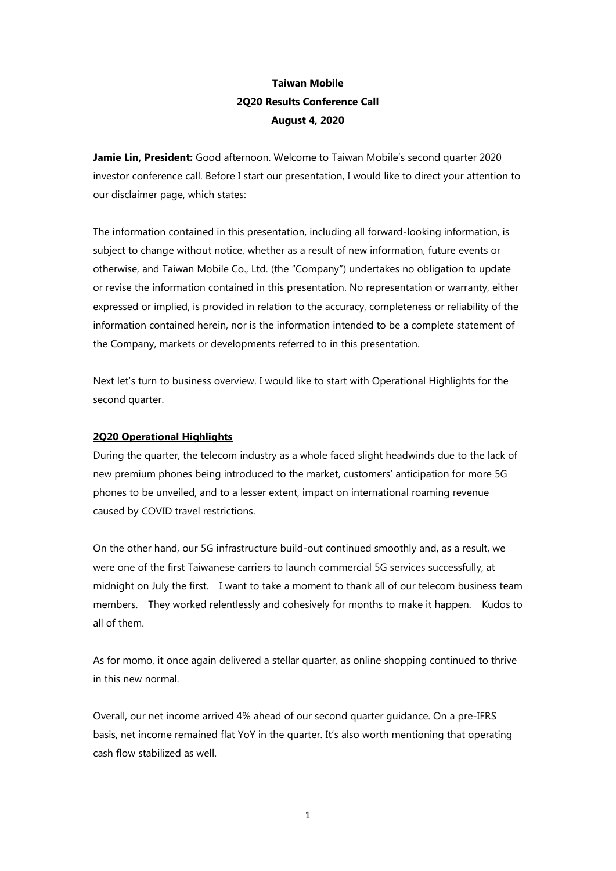# Taiwan Mobile 2Q20 Results Conference Call August 4, 2020

Jamie Lin, President: Good afternoon. Welcome to Taiwan Mobile's second quarter 2020 investor conference call. Before I start our presentation, I would like to direct your attention to our disclaimer page, which states:

The information contained in this presentation, including all forward-looking information, is subject to change without notice, whether as a result of new information, future events or otherwise, and Taiwan Mobile Co., Ltd. (the "Company") undertakes no obligation to update or revise the information contained in this presentation. No representation or warranty, either expressed or implied, is provided in relation to the accuracy, completeness or reliability of the information contained herein, nor is the information intended to be a complete statement of the Company, markets or developments referred to in this presentation.

Next let's turn to business overview. I would like to start with Operational Highlights for the second quarter.

# 2Q20 Operational Highlights

During the quarter, the telecom industry as a whole faced slight headwinds due to the lack of new premium phones being introduced to the market, customers' anticipation for more 5G phones to be unveiled, and to a lesser extent, impact on international roaming revenue caused by COVID travel restrictions.

On the other hand, our 5G infrastructure build-out continued smoothly and, as a result, we were one of the first Taiwanese carriers to launch commercial 5G services successfully, at midnight on July the first. I want to take a moment to thank all of our telecom business team members. They worked relentlessly and cohesively for months to make it happen. Kudos to all of them.

As for momo, it once again delivered a stellar quarter, as online shopping continued to thrive in this new normal.

Overall, our net income arrived 4% ahead of our second quarter guidance. On a pre-IFRS basis, net income remained flat YoY in the quarter. It's also worth mentioning that operating cash flow stabilized as well.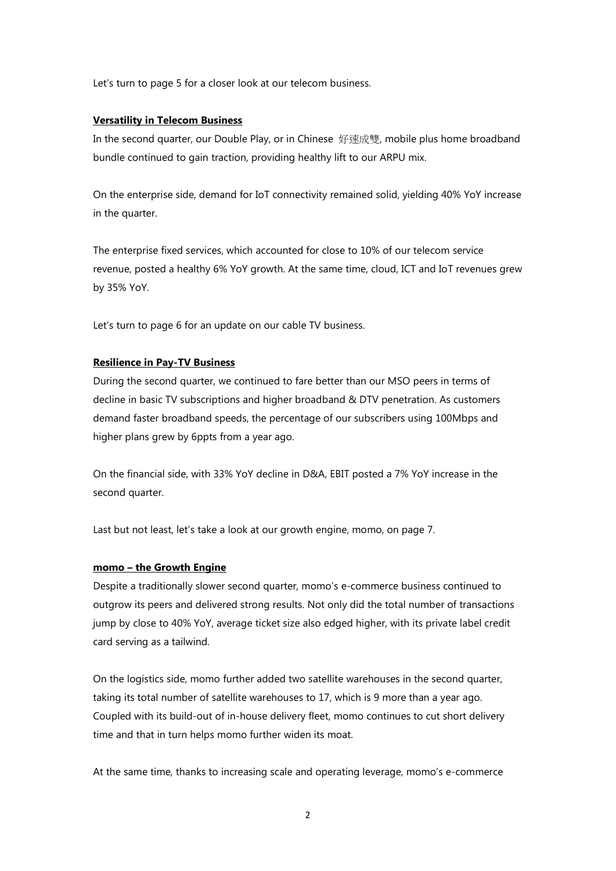Let's turn to page 5 for a closer look at our telecom business.

## Versatility in Telecom Business

In the second quarter, our Double Play, or in Chinese 好速成雙, mobile plus home broadband bundle continued to gain traction, providing healthy lift to our ARPU mix.

On the enterprise side, demand for IoT connectivity remained solid, yielding 40% YoY increase in the quarter.

The enterprise fixed services, which accounted for close to 10% of our telecom service revenue, posted a healthy 6% YoY growth. At the same time, cloud, ICT and IoT revenues grew by 35% YoY.

Let's turn to page 6 for an update on our cable TV business.

# Resilience in Pay-TV Business

During the second quarter, we continued to fare better than our MSO peers in terms of decline in basic TV subscriptions and higher broadband & DTV penetration. As customers demand faster broadband speeds, the percentage of our subscribers using 100Mbps and higher plans grew by 6ppts from a year ago.

On the financial side, with 33% YoY decline in D&A, EBIT posted a 7% YoY increase in the second quarter.

Last but not least, let's take a look at our growth engine, momo, on page 7.

## momo – the Growth Engine

Despite a traditionally slower second quarter, momo's e-commerce business continued to outgrow its peers and delivered strong results. Not only did the total number of transactions jump by close to 40% YoY, average ticket size also edged higher, with its private label credit card serving as a tailwind.

On the logistics side, momo further added two satellite warehouses in the second quarter, taking its total number of satellite warehouses to 17, which is 9 more than a year ago. Coupled with its build-out of in-house delivery fleet, momo continues to cut short delivery time and that in turn helps momo further widen its moat.

At the same time, thanks to increasing scale and operating leverage, momo's e-commerce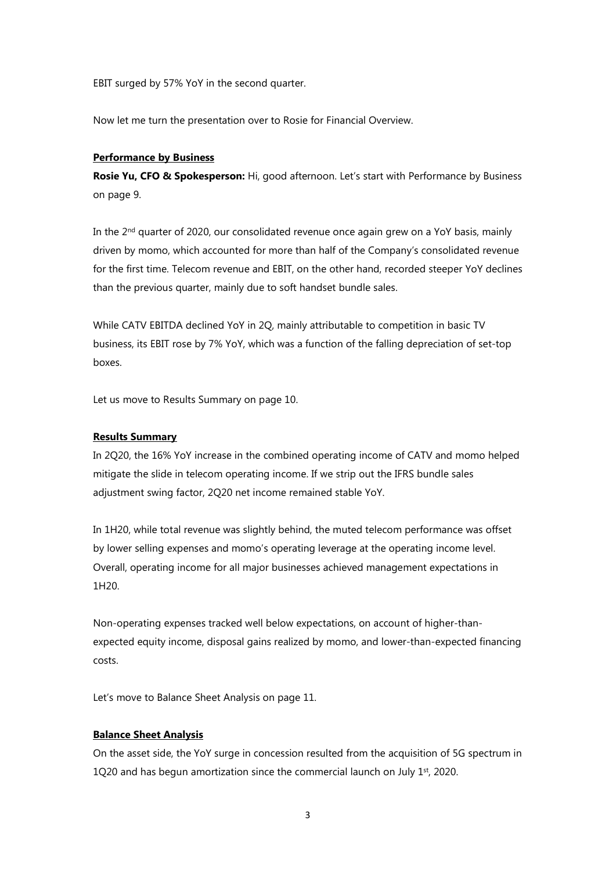EBIT surged by 57% YoY in the second quarter.

Now let me turn the presentation over to Rosie for Financial Overview.

#### Performance by Business

Rosie Yu, CFO & Spokesperson: Hi, good afternoon. Let's start with Performance by Business on page 9.

In the  $2<sup>nd</sup>$  quarter of 2020, our consolidated revenue once again grew on a YoY basis, mainly driven by momo, which accounted for more than half of the Company's consolidated revenue for the first time. Telecom revenue and EBIT, on the other hand, recorded steeper YoY declines than the previous quarter, mainly due to soft handset bundle sales.

While CATV EBITDA declined YoY in 2Q, mainly attributable to competition in basic TV business, its EBIT rose by 7% YoY, which was a function of the falling depreciation of set-top boxes.

Let us move to Results Summary on page 10.

# Results Summary

In 2Q20, the 16% YoY increase in the combined operating income of CATV and momo helped mitigate the slide in telecom operating income. If we strip out the IFRS bundle sales adjustment swing factor, 2Q20 net income remained stable YoY.

In 1H20, while total revenue was slightly behind, the muted telecom performance was offset by lower selling expenses and momo's operating leverage at the operating income level. Overall, operating income for all major businesses achieved management expectations in 1H20.

Non-operating expenses tracked well below expectations, on account of higher-thanexpected equity income, disposal gains realized by momo, and lower-than-expected financing costs.

Let's move to Balance Sheet Analysis on page 11.

## Balance Sheet Analysis

On the asset side, the YoY surge in concession resulted from the acquisition of 5G spectrum in 1Q20 and has begun amortization since the commercial launch on July  $1<sup>st</sup>$ , 2020.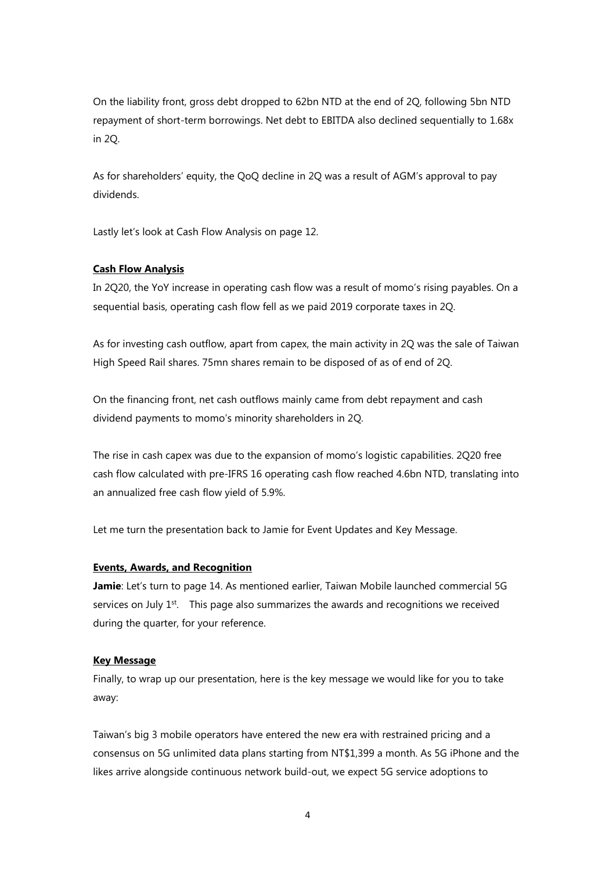On the liability front, gross debt dropped to 62bn NTD at the end of 2Q, following 5bn NTD repayment of short-term borrowings. Net debt to EBITDA also declined sequentially to 1.68x in 2Q.

As for shareholders' equity, the QoQ decline in 2Q was a result of AGM's approval to pay dividends.

Lastly let's look at Cash Flow Analysis on page 12.

# Cash Flow Analysis

In 2Q20, the YoY increase in operating cash flow was a result of momo's rising payables. On a sequential basis, operating cash flow fell as we paid 2019 corporate taxes in 2Q.

As for investing cash outflow, apart from capex, the main activity in 2Q was the sale of Taiwan High Speed Rail shares. 75mn shares remain to be disposed of as of end of 2Q.

On the financing front, net cash outflows mainly came from debt repayment and cash dividend payments to momo's minority shareholders in 2Q.

The rise in cash capex was due to the expansion of momo's logistic capabilities. 2Q20 free cash flow calculated with pre-IFRS 16 operating cash flow reached 4.6bn NTD, translating into an annualized free cash flow yield of 5.9%.

Let me turn the presentation back to Jamie for Event Updates and Key Message.

## Events, Awards, and Recognition

Jamie: Let's turn to page 14. As mentioned earlier, Taiwan Mobile launched commercial 5G services on July 1<sup>st</sup>. This page also summarizes the awards and recognitions we received during the quarter, for your reference.

#### Key Message

Finally, to wrap up our presentation, here is the key message we would like for you to take away:

Taiwan's big 3 mobile operators have entered the new era with restrained pricing and a consensus on 5G unlimited data plans starting from NT\$1,399 a month. As 5G iPhone and the likes arrive alongside continuous network build-out, we expect 5G service adoptions to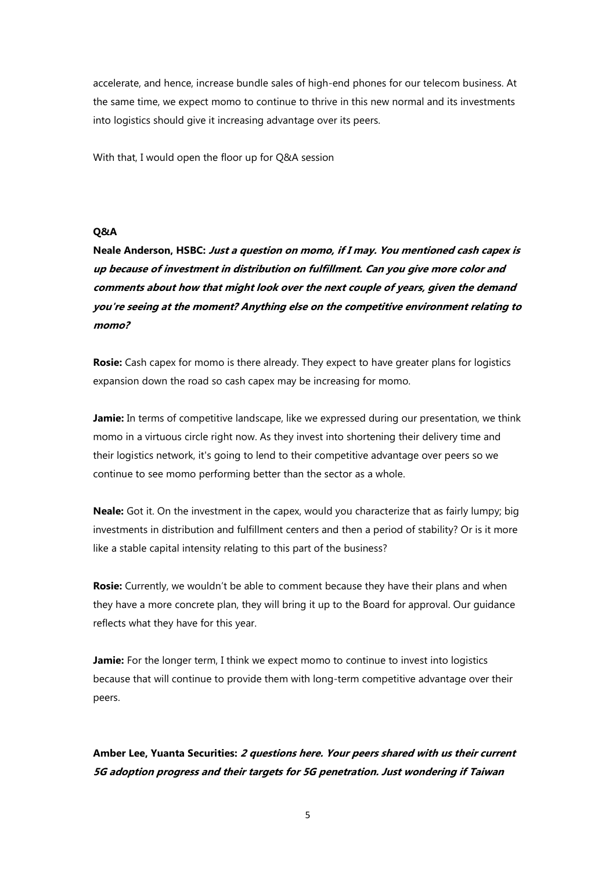accelerate, and hence, increase bundle sales of high-end phones for our telecom business. At the same time, we expect momo to continue to thrive in this new normal and its investments into logistics should give it increasing advantage over its peers.

With that, I would open the floor up for Q&A session

# Q&A

Neale Anderson, HSBC: Just a question on momo, if I may. You mentioned cash capex is up because of investment in distribution on fulfillment. Can you give more color and comments about how that might look over the next couple of years, given the demand you're seeing at the moment? Anything else on the competitive environment relating to momo?

Rosie: Cash capex for momo is there already. They expect to have greater plans for logistics expansion down the road so cash capex may be increasing for momo.

Jamie: In terms of competitive landscape, like we expressed during our presentation, we think momo in a virtuous circle right now. As they invest into shortening their delivery time and their logistics network, it's going to lend to their competitive advantage over peers so we continue to see momo performing better than the sector as a whole.

Neale: Got it. On the investment in the capex, would you characterize that as fairly lumpy; big investments in distribution and fulfillment centers and then a period of stability? Or is it more like a stable capital intensity relating to this part of the business?

**Rosie:** Currently, we wouldn't be able to comment because they have their plans and when they have a more concrete plan, they will bring it up to the Board for approval. Our guidance reflects what they have for this year.

Jamie: For the longer term, I think we expect momo to continue to invest into logistics because that will continue to provide them with long-term competitive advantage over their peers.

Amber Lee, Yuanta Securities: 2 questions here. Your peers shared with us their current 5G adoption progress and their targets for 5G penetration. Just wondering if Taiwan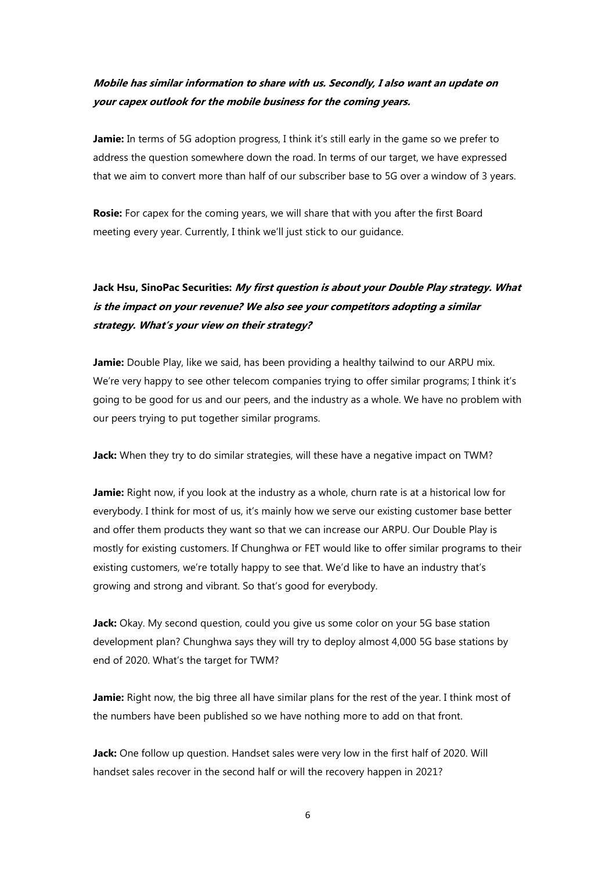# Mobile has similar information to share with us. Secondly, I also want an update on your capex outlook for the mobile business for the coming years.

**Jamie:** In terms of 5G adoption progress, I think it's still early in the game so we prefer to address the question somewhere down the road. In terms of our target, we have expressed that we aim to convert more than half of our subscriber base to 5G over a window of 3 years.

**Rosie:** For capex for the coming years, we will share that with you after the first Board meeting every year. Currently, I think we'll just stick to our guidance.

# Jack Hsu, SinoPac Securities: My first question is about your Double Play strategy. What is the impact on your revenue? We also see your competitors adopting a similar strategy. What's your view on their strategy?

Jamie: Double Play, like we said, has been providing a healthy tailwind to our ARPU mix. We're very happy to see other telecom companies trying to offer similar programs; I think it's going to be good for us and our peers, and the industry as a whole. We have no problem with our peers trying to put together similar programs.

Jack: When they try to do similar strategies, will these have a negative impact on TWM?

**Jamie:** Right now, if you look at the industry as a whole, churn rate is at a historical low for everybody. I think for most of us, it's mainly how we serve our existing customer base better and offer them products they want so that we can increase our ARPU. Our Double Play is mostly for existing customers. If Chunghwa or FET would like to offer similar programs to their existing customers, we're totally happy to see that. We'd like to have an industry that's growing and strong and vibrant. So that's good for everybody.

Jack: Okay. My second question, could you give us some color on your 5G base station development plan? Chunghwa says they will try to deploy almost 4,000 5G base stations by end of 2020. What's the target for TWM?

Jamie: Right now, the big three all have similar plans for the rest of the year. I think most of the numbers have been published so we have nothing more to add on that front.

Jack: One follow up question. Handset sales were very low in the first half of 2020. Will handset sales recover in the second half or will the recovery happen in 2021?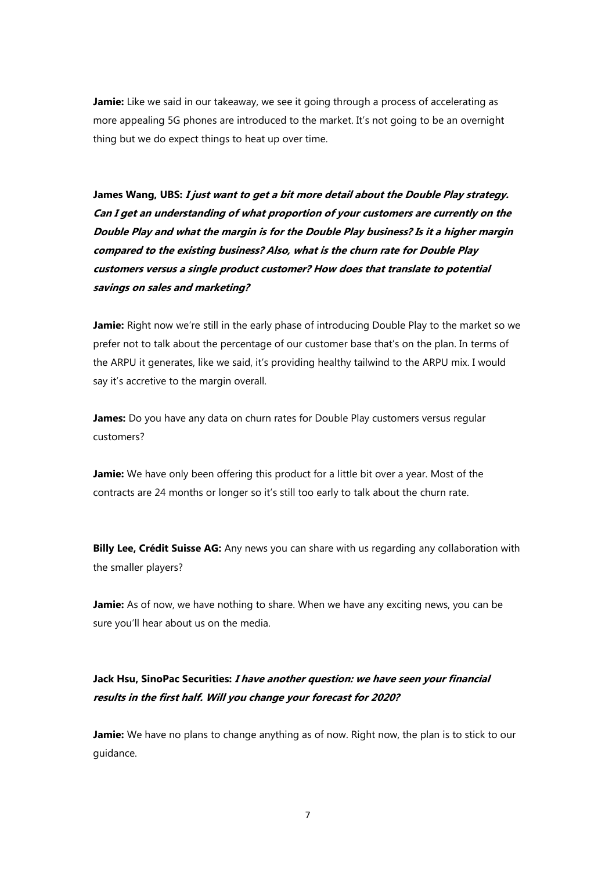Jamie: Like we said in our takeaway, we see it going through a process of accelerating as more appealing 5G phones are introduced to the market. It's not going to be an overnight thing but we do expect things to heat up over time.

James Wang, UBS: I just want to get a bit more detail about the Double Play strategy. Can I get an understanding of what proportion of your customers are currently on the Double Play and what the margin is for the Double Play business? Is it a higher margin compared to the existing business? Also, what is the churn rate for Double Play customers versus a single product customer? How does that translate to potential savings on sales and marketing?

Jamie: Right now we're still in the early phase of introducing Double Play to the market so we prefer not to talk about the percentage of our customer base that's on the plan. In terms of the ARPU it generates, like we said, it's providing healthy tailwind to the ARPU mix. I would say it's accretive to the margin overall.

James: Do you have any data on churn rates for Double Play customers versus regular customers?

Jamie: We have only been offering this product for a little bit over a year. Most of the contracts are 24 months or longer so it's still too early to talk about the churn rate.

Billy Lee, Crédit Suisse AG: Any news you can share with us regarding any collaboration with the smaller players?

Jamie: As of now, we have nothing to share. When we have any exciting news, you can be sure you'll hear about us on the media.

# Jack Hsu, SinoPac Securities: I have another question: we have seen your financial results in the first half. Will you change your forecast for 2020?

Jamie: We have no plans to change anything as of now. Right now, the plan is to stick to our guidance.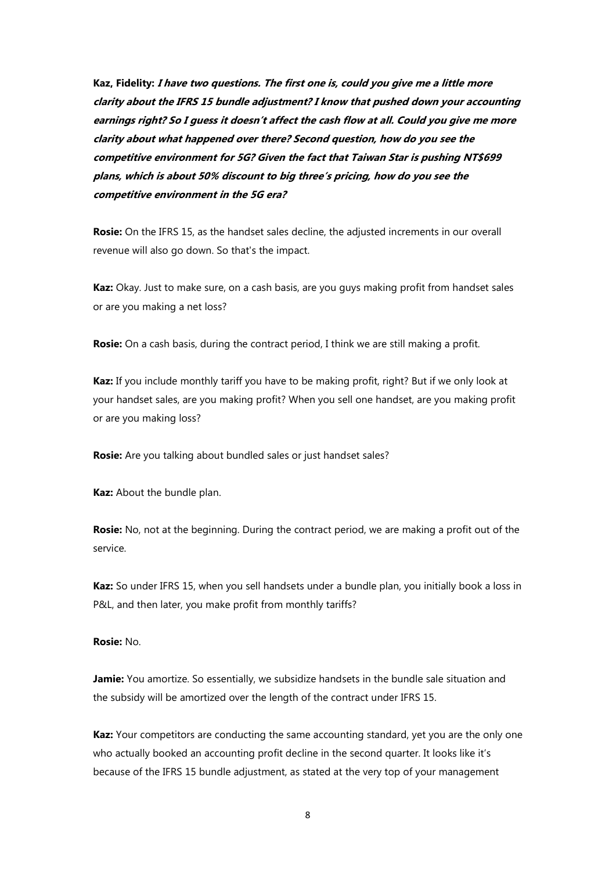Kaz, Fidelity: I have two questions. The first one is, could you give me a little more clarity about the IFRS 15 bundle adjustment? I know that pushed down your accounting earnings right? So I guess it doesn't affect the cash flow at all. Could you give me more clarity about what happened over there? Second question, how do you see the competitive environment for 5G? Given the fact that Taiwan Star is pushing NT\$699 plans, which is about 50% discount to big three's pricing, how do you see the competitive environment in the 5G era?

Rosie: On the IFRS 15, as the handset sales decline, the adjusted increments in our overall revenue will also go down. So that's the impact.

Kaz: Okay. Just to make sure, on a cash basis, are you guys making profit from handset sales or are you making a net loss?

**Rosie:** On a cash basis, during the contract period, I think we are still making a profit.

Kaz: If you include monthly tariff you have to be making profit, right? But if we only look at your handset sales, are you making profit? When you sell one handset, are you making profit or are you making loss?

Rosie: Are you talking about bundled sales or just handset sales?

Kaz: About the bundle plan.

**Rosie:** No, not at the beginning. During the contract period, we are making a profit out of the service.

Kaz: So under IFRS 15, when you sell handsets under a bundle plan, you initially book a loss in P&L, and then later, you make profit from monthly tariffs?

#### Rosie: No.

**Jamie:** You amortize. So essentially, we subsidize handsets in the bundle sale situation and the subsidy will be amortized over the length of the contract under IFRS 15.

Kaz: Your competitors are conducting the same accounting standard, yet you are the only one who actually booked an accounting profit decline in the second quarter. It looks like it's because of the IFRS 15 bundle adjustment, as stated at the very top of your management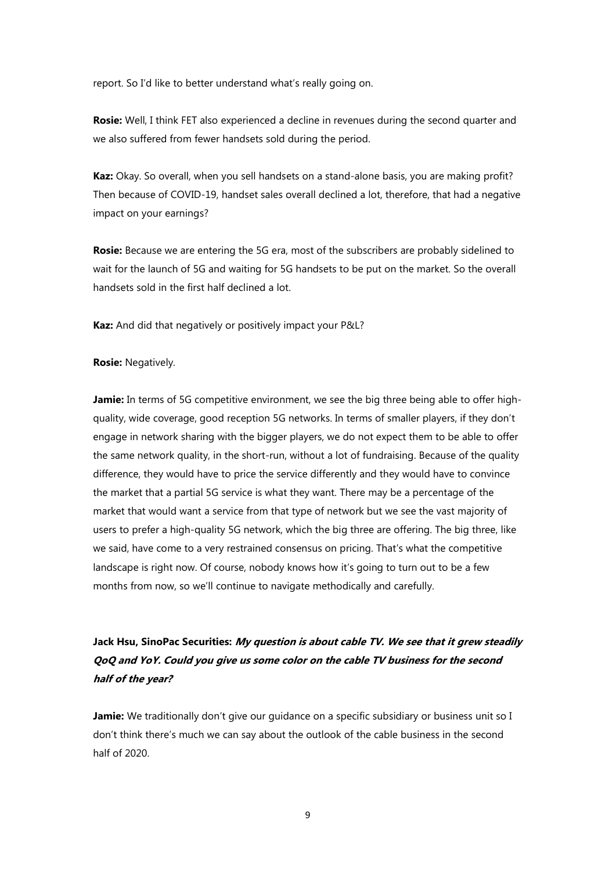report. So I'd like to better understand what's really going on.

**Rosie:** Well, I think FET also experienced a decline in revenues during the second quarter and we also suffered from fewer handsets sold during the period.

Kaz: Okay. So overall, when you sell handsets on a stand-alone basis, you are making profit? Then because of COVID-19, handset sales overall declined a lot, therefore, that had a negative impact on your earnings?

Rosie: Because we are entering the 5G era, most of the subscribers are probably sidelined to wait for the launch of 5G and waiting for 5G handsets to be put on the market. So the overall handsets sold in the first half declined a lot.

Kaz: And did that negatively or positively impact your P&L?

# Rosie: Negatively.

**Jamie:** In terms of 5G competitive environment, we see the big three being able to offer highquality, wide coverage, good reception 5G networks. In terms of smaller players, if they don't engage in network sharing with the bigger players, we do not expect them to be able to offer the same network quality, in the short-run, without a lot of fundraising. Because of the quality difference, they would have to price the service differently and they would have to convince the market that a partial 5G service is what they want. There may be a percentage of the market that would want a service from that type of network but we see the vast majority of users to prefer a high-quality 5G network, which the big three are offering. The big three, like we said, have come to a very restrained consensus on pricing. That's what the competitive landscape is right now. Of course, nobody knows how it's going to turn out to be a few months from now, so we'll continue to navigate methodically and carefully.

# Jack Hsu, SinoPac Securities: My question is about cable TV. We see that it grew steadily QoQ and YoY. Could you give us some color on the cable TV business for the second half of the year?

Jamie: We traditionally don't give our guidance on a specific subsidiary or business unit so I don't think there's much we can say about the outlook of the cable business in the second half of 2020.